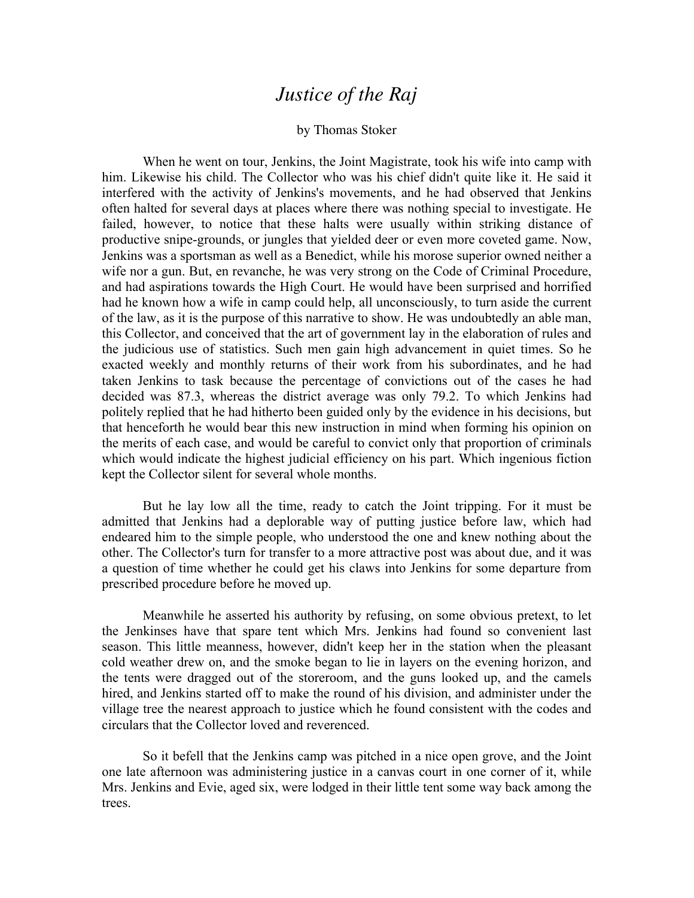## *Justice of the Raj*

## by Thomas Stoker

When he went on tour, Jenkins, the Joint Magistrate, took his wife into camp with him. Likewise his child. The Collector who was his chief didn't quite like it. He said it interfered with the activity of Jenkins's movements, and he had observed that Jenkins often halted for several days at places where there was nothing special to investigate. He failed, however, to notice that these halts were usually within striking distance of productive snipe-grounds, or jungles that yielded deer or even more coveted game. Now, Jenkins was a sportsman as well as a Benedict, while his morose superior owned neither a wife nor a gun. But, en revanche, he was very strong on the Code of Criminal Procedure, and had aspirations towards the High Court. He would have been surprised and horrified had he known how a wife in camp could help, all unconsciously, to turn aside the current of the law, as it is the purpose of this narrative to show. He was undoubtedly an able man, this Collector, and conceived that the art of government lay in the elaboration of rules and the judicious use of statistics. Such men gain high advancement in quiet times. So he exacted weekly and monthly returns of their work from his subordinates, and he had taken Jenkins to task because the percentage of convictions out of the cases he had decided was 87.3, whereas the district average was only 79.2. To which Jenkins had politely replied that he had hitherto been guided only by the evidence in his decisions, but that henceforth he would bear this new instruction in mind when forming his opinion on the merits of each case, and would be careful to convict only that proportion of criminals which would indicate the highest judicial efficiency on his part. Which ingenious fiction kept the Collector silent for several whole months.

But he lay low all the time, ready to catch the Joint tripping. For it must be admitted that Jenkins had a deplorable way of putting justice before law, which had endeared him to the simple people, who understood the one and knew nothing about the other. The Collector's turn for transfer to a more attractive post was about due, and it was a question of time whether he could get his claws into Jenkins for some departure from prescribed procedure before he moved up.

Meanwhile he asserted his authority by refusing, on some obvious pretext, to let the Jenkinses have that spare tent which Mrs. Jenkins had found so convenient last season. This little meanness, however, didn't keep her in the station when the pleasant cold weather drew on, and the smoke began to lie in layers on the evening horizon, and the tents were dragged out of the storeroom, and the guns looked up, and the camels hired, and Jenkins started off to make the round of his division, and administer under the village tree the nearest approach to justice which he found consistent with the codes and circulars that the Collector loved and reverenced.

So it befell that the Jenkins camp was pitched in a nice open grove, and the Joint one late afternoon was administering justice in a canvas court in one corner of it, while Mrs. Jenkins and Evie, aged six, were lodged in their little tent some way back among the trees.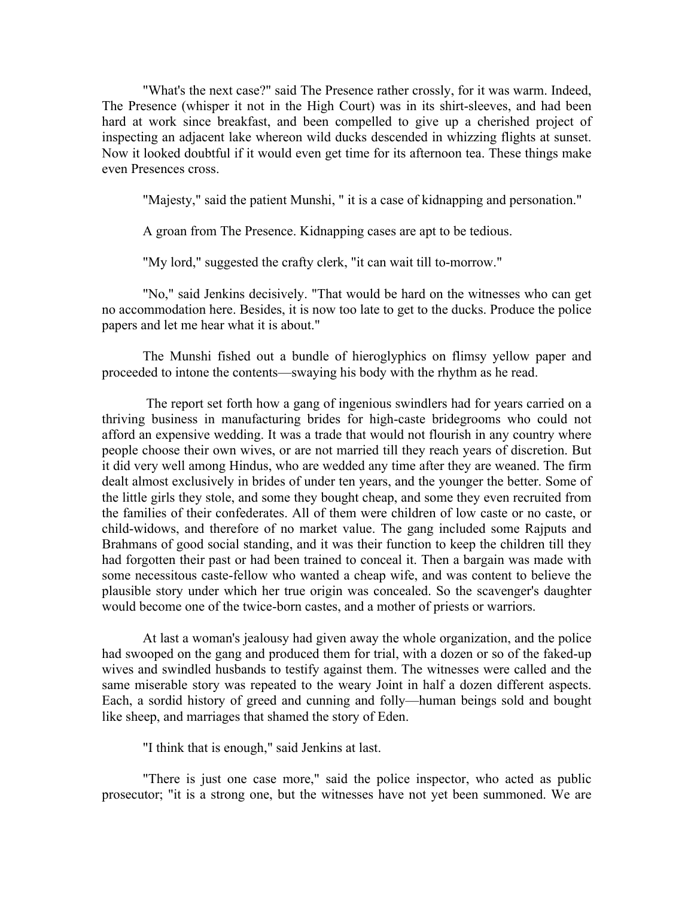"What's the next case?" said The Presence rather crossly, for it was warm. Indeed, The Presence (whisper it not in the High Court) was in its shirt-sleeves, and had been hard at work since breakfast, and been compelled to give up a cherished project of inspecting an adjacent lake whereon wild ducks descended in whizzing flights at sunset. Now it looked doubtful if it would even get time for its afternoon tea. These things make even Presences cross.

"Majesty," said the patient Munshi, " it is a case of kidnapping and personation."

A groan from The Presence. Kidnapping cases are apt to be tedious.

"My lord," suggested the crafty clerk, "it can wait till to-morrow."

"No," said Jenkins decisively. "That would be hard on the witnesses who can get no accommodation here. Besides, it is now too late to get to the ducks. Produce the police papers and let me hear what it is about."

The Munshi fished out a bundle of hieroglyphics on flimsy yellow paper and proceeded to intone the contents—swaying his body with the rhythm as he read.

The report set forth how a gang of ingenious swindlers had for years carried on a thriving business in manufacturing brides for high-caste bridegrooms who could not afford an expensive wedding. It was a trade that would not flourish in any country where people choose their own wives, or are not married till they reach years of discretion. But it did very well among Hindus, who are wedded any time after they are weaned. The firm dealt almost exclusively in brides of under ten years, and the younger the better. Some of the little girls they stole, and some they bought cheap, and some they even recruited from the families of their confederates. All of them were children of low caste or no caste, or child-widows, and therefore of no market value. The gang included some Rajputs and Brahmans of good social standing, and it was their function to keep the children till they had forgotten their past or had been trained to conceal it. Then a bargain was made with some necessitous caste-fellow who wanted a cheap wife, and was content to believe the plausible story under which her true origin was concealed. So the scavenger's daughter would become one of the twice-born castes, and a mother of priests or warriors.

At last a woman's jealousy had given away the whole organization, and the police had swooped on the gang and produced them for trial, with a dozen or so of the faked-up wives and swindled husbands to testify against them. The witnesses were called and the same miserable story was repeated to the weary Joint in half a dozen different aspects. Each, a sordid history of greed and cunning and folly—human beings sold and bought like sheep, and marriages that shamed the story of Eden.

"I think that is enough," said Jenkins at last.

"There is just one case more," said the police inspector, who acted as public prosecutor; "it is a strong one, but the witnesses have not yet been summoned. We are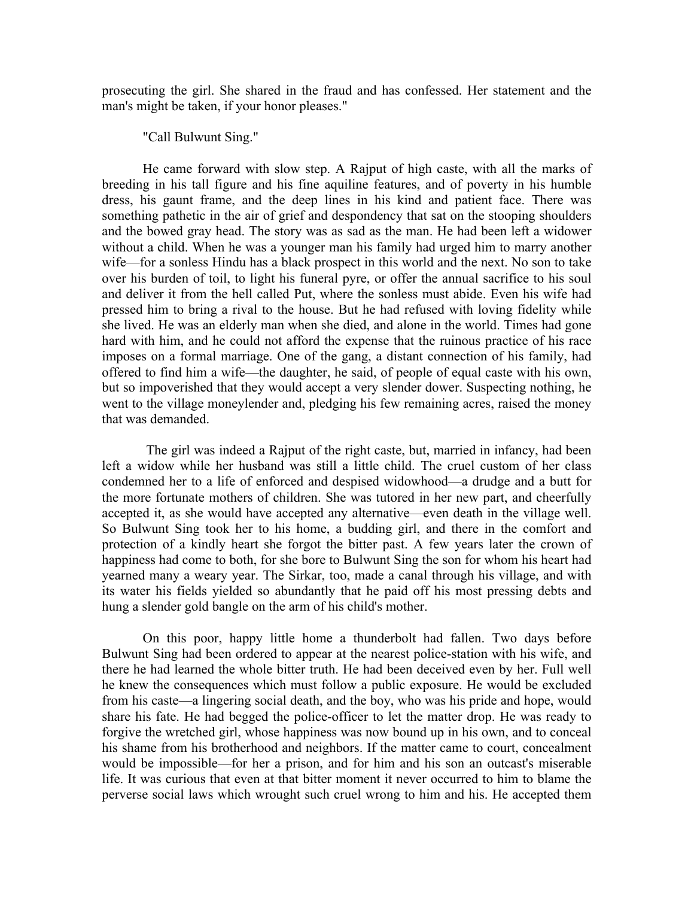prosecuting the girl. She shared in the fraud and has confessed. Her statement and the man's might be taken, if your honor pleases."

"Call Bulwunt Sing."

He came forward with slow step. A Rajput of high caste, with all the marks of breeding in his tall figure and his fine aquiline features, and of poverty in his humble dress, his gaunt frame, and the deep lines in his kind and patient face. There was something pathetic in the air of grief and despondency that sat on the stooping shoulders and the bowed gray head. The story was as sad as the man. He had been left a widower without a child. When he was a younger man his family had urged him to marry another wife—for a sonless Hindu has a black prospect in this world and the next. No son to take over his burden of toil, to light his funeral pyre, or offer the annual sacrifice to his soul and deliver it from the hell called Put, where the sonless must abide. Even his wife had pressed him to bring a rival to the house. But he had refused with loving fidelity while she lived. He was an elderly man when she died, and alone in the world. Times had gone hard with him, and he could not afford the expense that the ruinous practice of his race imposes on a formal marriage. One of the gang, a distant connection of his family, had offered to find him a wife—the daughter, he said, of people of equal caste with his own, but so impoverished that they would accept a very slender dower. Suspecting nothing, he went to the village moneylender and, pledging his few remaining acres, raised the money that was demanded.

The girl was indeed a Rajput of the right caste, but, married in infancy, had been left a widow while her husband was still a little child. The cruel custom of her class condemned her to a life of enforced and despised widowhood—a drudge and a butt for the more fortunate mothers of children. She was tutored in her new part, and cheerfully accepted it, as she would have accepted any alternative—even death in the village well. So Bulwunt Sing took her to his home, a budding girl, and there in the comfort and protection of a kindly heart she forgot the bitter past. A few years later the crown of happiness had come to both, for she bore to Bulwunt Sing the son for whom his heart had yearned many a weary year. The Sirkar, too, made a canal through his village, and with its water his fields yielded so abundantly that he paid off his most pressing debts and hung a slender gold bangle on the arm of his child's mother.

On this poor, happy little home a thunderbolt had fallen. Two days before Bulwunt Sing had been ordered to appear at the nearest police-station with his wife, and there he had learned the whole bitter truth. He had been deceived even by her. Full well he knew the consequences which must follow a public exposure. He would be excluded from his caste—a lingering social death, and the boy, who was his pride and hope, would share his fate. He had begged the police-officer to let the matter drop. He was ready to forgive the wretched girl, whose happiness was now bound up in his own, and to conceal his shame from his brotherhood and neighbors. If the matter came to court, concealment would be impossible—for her a prison, and for him and his son an outcast's miserable life. It was curious that even at that bitter moment it never occurred to him to blame the perverse social laws which wrought such cruel wrong to him and his. He accepted them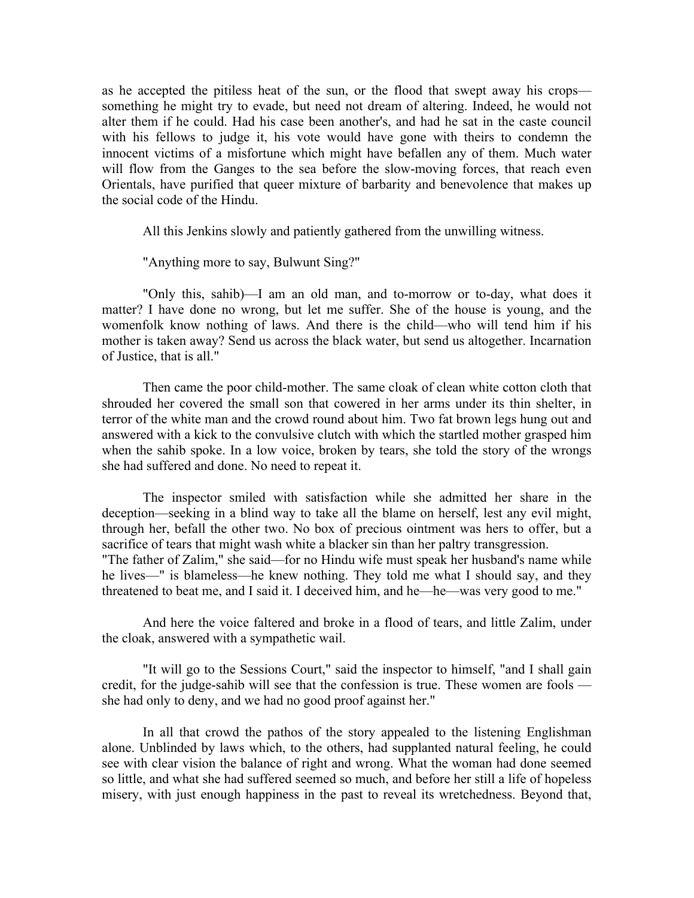as he accepted the pitiless heat of the sun, or the flood that swept away his crops something he might try to evade, but need not dream of altering. Indeed, he would not alter them if he could. Had his case been another's, and had he sat in the caste council with his fellows to judge it, his vote would have gone with theirs to condemn the innocent victims of a misfortune which might have befallen any of them. Much water will flow from the Ganges to the sea before the slow-moving forces, that reach even Orientals, have purified that queer mixture of barbarity and benevolence that makes up the social code of the Hindu.

All this Jenkins slowly and patiently gathered from the unwilling witness.

"Anything more to say, Bulwunt Sing?"

"Only this, sahib)—I am an old man, and to-morrow or to-day, what does it matter? I have done no wrong, but let me suffer. She of the house is young, and the womenfolk know nothing of laws. And there is the child—who will tend him if his mother is taken away? Send us across the black water, but send us altogether. Incarnation of Justice, that is all."

Then came the poor child-mother. The same cloak of clean white cotton cloth that shrouded her covered the small son that cowered in her arms under its thin shelter, in terror of the white man and the crowd round about him. Two fat brown legs hung out and answered with a kick to the convulsive clutch with which the startled mother grasped him when the sahib spoke. In a low voice, broken by tears, she told the story of the wrongs she had suffered and done. No need to repeat it.

The inspector smiled with satisfaction while she admitted her share in the deception—seeking in a blind way to take all the blame on herself, lest any evil might, through her, befall the other two. No box of precious ointment was hers to offer, but a sacrifice of tears that might wash white a blacker sin than her paltry transgression. "The father of Zalim," she said—for no Hindu wife must speak her husband's name while he lives—" is blameless—he knew nothing. They told me what I should say, and they threatened to beat me, and I said it. I deceived him, and he—he—was very good to me."

And here the voice faltered and broke in a flood of tears, and little Zalim, under the cloak, answered with a sympathetic wail.

"It will go to the Sessions Court," said the inspector to himself, "and I shall gain credit, for the judge-sahib will see that the confession is true. These women are fools she had only to deny, and we had no good proof against her."

In all that crowd the pathos of the story appealed to the listening Englishman alone. Unblinded by laws which, to the others, had supplanted natural feeling, he could see with clear vision the balance of right and wrong. What the woman had done seemed so little, and what she had suffered seemed so much, and before her still a life of hopeless misery, with just enough happiness in the past to reveal its wretchedness. Beyond that,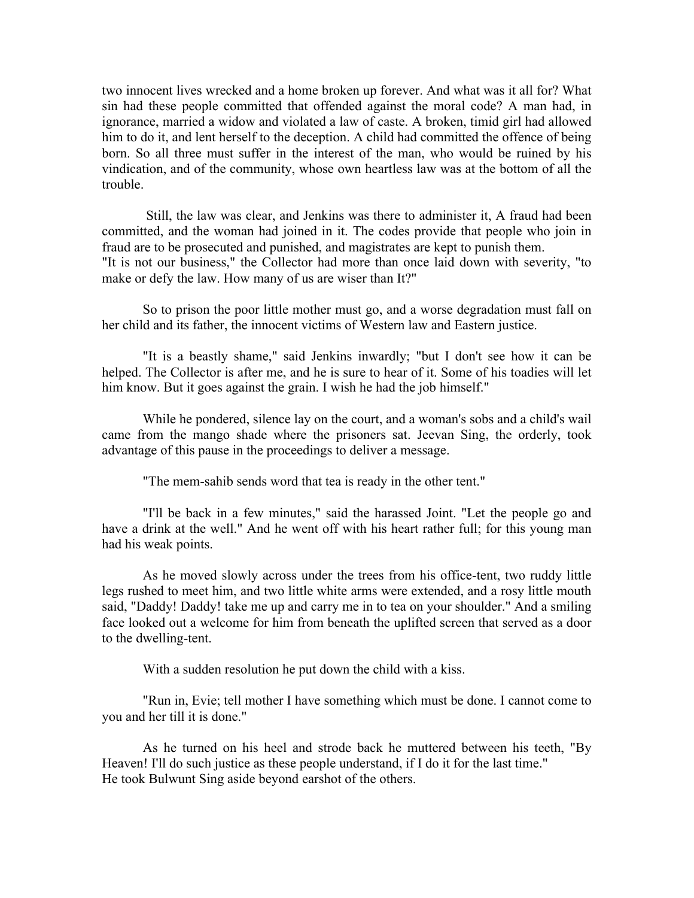two innocent lives wrecked and a home broken up forever. And what was it all for? What sin had these people committed that offended against the moral code? A man had, in ignorance, married a widow and violated a law of caste. A broken, timid girl had allowed him to do it, and lent herself to the deception. A child had committed the offence of being born. So all three must suffer in the interest of the man, who would be ruined by his vindication, and of the community, whose own heartless law was at the bottom of all the trouble.

Still, the law was clear, and Jenkins was there to administer it, A fraud had been committed, and the woman had joined in it. The codes provide that people who join in fraud are to be prosecuted and punished, and magistrates are kept to punish them. "It is not our business," the Collector had more than once laid down with severity, "to make or defy the law. How many of us are wiser than It?"

So to prison the poor little mother must go, and a worse degradation must fall on her child and its father, the innocent victims of Western law and Eastern justice.

"It is a beastly shame," said Jenkins inwardly; "but I don't see how it can be helped. The Collector is after me, and he is sure to hear of it. Some of his toadies will let him know. But it goes against the grain. I wish he had the job himself."

While he pondered, silence lay on the court, and a woman's sobs and a child's wail came from the mango shade where the prisoners sat. Jeevan Sing, the orderly, took advantage of this pause in the proceedings to deliver a message.

"The mem-sahib sends word that tea is ready in the other tent."

"I'll be back in a few minutes," said the harassed Joint. "Let the people go and have a drink at the well." And he went off with his heart rather full; for this young man had his weak points.

As he moved slowly across under the trees from his office-tent, two ruddy little legs rushed to meet him, and two little white arms were extended, and a rosy little mouth said, "Daddy! Daddy! take me up and carry me in to tea on your shoulder." And a smiling face looked out a welcome for him from beneath the uplifted screen that served as a door to the dwelling-tent.

With a sudden resolution he put down the child with a kiss.

"Run in, Evie; tell mother I have something which must be done. I cannot come to you and her till it is done."

As he turned on his heel and strode back he muttered between his teeth, "By Heaven! I'll do such justice as these people understand, if I do it for the last time." He took Bulwunt Sing aside beyond earshot of the others.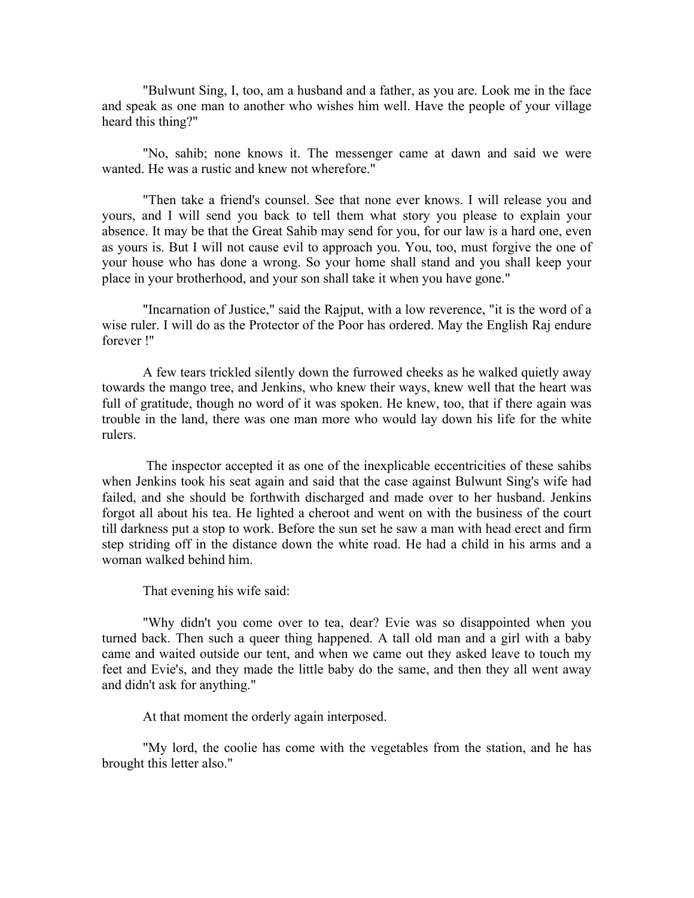"Bulwunt Sing, I, too, am a husband and a father, as you are. Look me in the face and speak as one man to another who wishes him well. Have the people of your village heard this thing?"

"No, sahib; none knows it. The messenger came at dawn and said we were wanted. He was a rustic and knew not wherefore."

"Then take a friend's counsel. See that none ever knows. I will release you and yours, and I will send you back to tell them what story you please to explain your absence. It may be that the Great Sahib may send for you, for our law is a hard one, even as yours is. But I will not cause evil to approach you. You, too, must forgive the one of your house who has done a wrong. So your home shall stand and you shall keep your place in your brotherhood, and your son shall take it when you have gone."

"Incarnation of Justice," said the Rajput, with a low reverence, "it is the word of a wise ruler. I will do as the Protector of the Poor has ordered. May the English Raj endure forever !''

A few tears trickled silently down the furrowed cheeks as he walked quietly away towards the mango tree, and Jenkins, who knew their ways, knew well that the heart was full of gratitude, though no word of it was spoken. He knew, too, that if there again was trouble in the land, there was one man more who would lay down his life for the white rulers.

The inspector accepted it as one of the inexplicable eccentricities of these sahibs when Jenkins took his seat again and said that the case against Bulwunt Sing's wife had failed, and she should be forthwith discharged and made over to her husband. Jenkins forgot all about his tea. He lighted a cheroot and went on with the business of the court till darkness put a stop to work. Before the sun set he saw a man with head erect and firm step striding off in the distance down the white road. He had a child in his arms and a woman walked behind him.

That evening his wife said:

"Why didn't you come over to tea, dear? Evie was so disappointed when you turned back. Then such a queer thing happened. A tall old man and a girl with a baby came and waited outside our tent, and when we came out they asked leave to touch my feet and Evie's, and they made the little baby do the same, and then they all went away and didn't ask for anything."

At that moment the orderly again interposed.

"My lord, the coolie has come with the vegetables from the station, and he has brought this letter also."